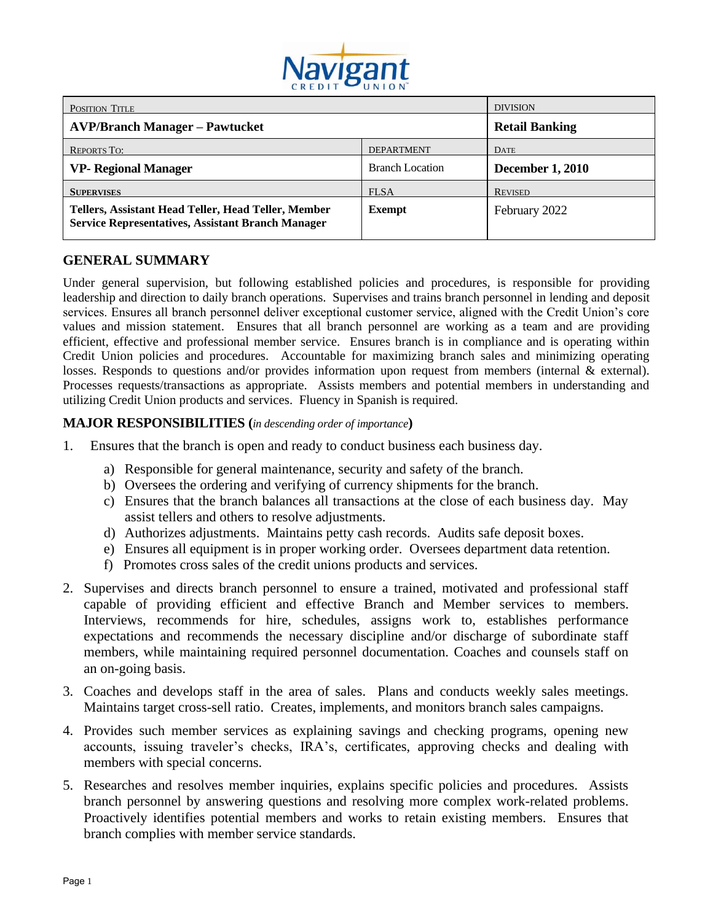

| POSITION TITLE                                                                                                  |                        | <b>DIVISION</b>         |
|-----------------------------------------------------------------------------------------------------------------|------------------------|-------------------------|
| <b>AVP/Branch Manager – Pawtucket</b>                                                                           |                        | <b>Retail Banking</b>   |
| <b>REPORTS TO:</b>                                                                                              | <b>DEPARTMENT</b>      | <b>DATE</b>             |
| <b>VP- Regional Manager</b>                                                                                     | <b>Branch Location</b> | <b>December 1, 2010</b> |
| <b>SUPERVISES</b>                                                                                               | <b>FLSA</b>            | <b>REVISED</b>          |
| Tellers, Assistant Head Teller, Head Teller, Member<br><b>Service Representatives, Assistant Branch Manager</b> | <b>Exempt</b>          | February 2022           |

### **GENERAL SUMMARY**

Under general supervision, but following established policies and procedures, is responsible for providing leadership and direction to daily branch operations. Supervises and trains branch personnel in lending and deposit services. Ensures all branch personnel deliver exceptional customer service, aligned with the Credit Union's core values and mission statement. Ensures that all branch personnel are working as a team and are providing efficient, effective and professional member service. Ensures branch is in compliance and is operating within Credit Union policies and procedures. Accountable for maximizing branch sales and minimizing operating losses. Responds to questions and/or provides information upon request from members (internal & external). Processes requests/transactions as appropriate. Assists members and potential members in understanding and utilizing Credit Union products and services. Fluency in Spanish is required.

#### **MAJOR RESPONSIBILITIES (***in descending order of importance***)**

- 1. Ensures that the branch is open and ready to conduct business each business day.
	- a) Responsible for general maintenance, security and safety of the branch.
	- b) Oversees the ordering and verifying of currency shipments for the branch.
	- c) Ensures that the branch balances all transactions at the close of each business day. May assist tellers and others to resolve adjustments.
	- d) Authorizes adjustments. Maintains petty cash records. Audits safe deposit boxes.
	- e) Ensures all equipment is in proper working order. Oversees department data retention.
	- f) Promotes cross sales of the credit unions products and services.
- 2. Supervises and directs branch personnel to ensure a trained, motivated and professional staff capable of providing efficient and effective Branch and Member services to members. Interviews, recommends for hire, schedules, assigns work to, establishes performance expectations and recommends the necessary discipline and/or discharge of subordinate staff members, while maintaining required personnel documentation. Coaches and counsels staff on an on-going basis.
- 3. Coaches and develops staff in the area of sales. Plans and conducts weekly sales meetings. Maintains target cross-sell ratio. Creates, implements, and monitors branch sales campaigns.
- 4. Provides such member services as explaining savings and checking programs, opening new accounts, issuing traveler's checks, IRA's, certificates, approving checks and dealing with members with special concerns.
- 5. Researches and resolves member inquiries, explains specific policies and procedures. Assists branch personnel by answering questions and resolving more complex work-related problems. Proactively identifies potential members and works to retain existing members. Ensures that branch complies with member service standards.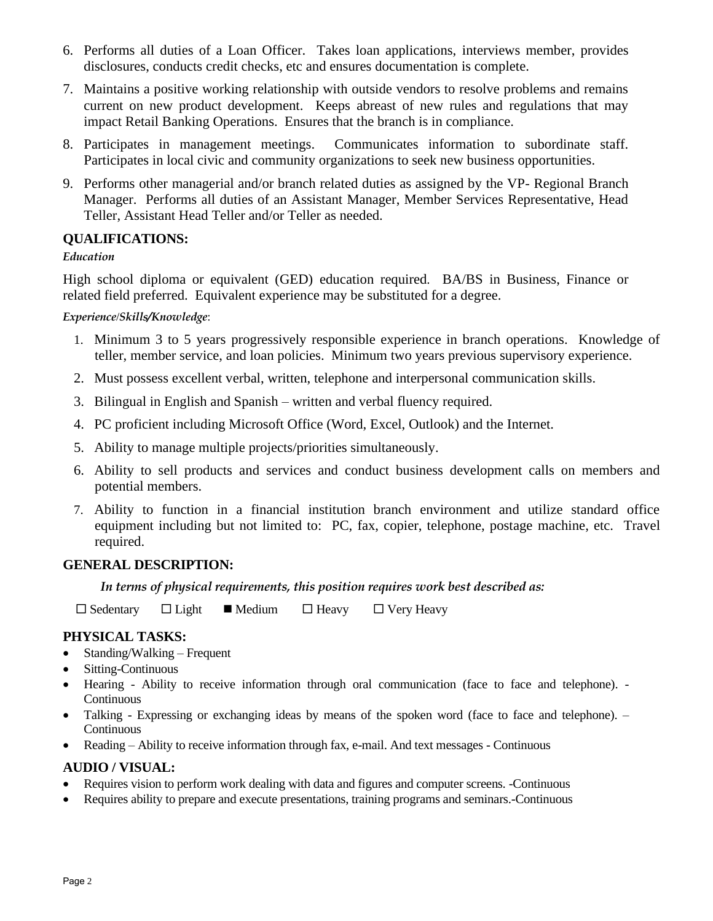- 6. Performs all duties of a Loan Officer. Takes loan applications, interviews member, provides disclosures, conducts credit checks, etc and ensures documentation is complete.
- 7. Maintains a positive working relationship with outside vendors to resolve problems and remains current on new product development. Keeps abreast of new rules and regulations that may impact Retail Banking Operations. Ensures that the branch is in compliance.
- 8. Participates in management meetings. Communicates information to subordinate staff. Participates in local civic and community organizations to seek new business opportunities.
- 9. Performs other managerial and/or branch related duties as assigned by the VP- Regional Branch Manager. Performs all duties of an Assistant Manager, Member Services Representative, Head Teller, Assistant Head Teller and/or Teller as needed.

## **QUALIFICATIONS:**

### *Education*

High school diploma or equivalent (GED) education required. BA/BS in Business, Finance or related field preferred. Equivalent experience may be substituted for a degree.

### *Experience*/*Skills/Knowledge*:

- 1. Minimum 3 to 5 years progressively responsible experience in branch operations. Knowledge of teller, member service, and loan policies. Minimum two years previous supervisory experience.
- 2. Must possess excellent verbal, written, telephone and interpersonal communication skills.
- 3. Bilingual in English and Spanish written and verbal fluency required.
- 4. PC proficient including Microsoft Office (Word, Excel, Outlook) and the Internet.
- 5. Ability to manage multiple projects/priorities simultaneously.
- 6. Ability to sell products and services and conduct business development calls on members and potential members.
- 7. Ability to function in a financial institution branch environment and utilize standard office equipment including but not limited to: PC, fax, copier, telephone, postage machine, etc. Travel required.

### **GENERAL DESCRIPTION:**

### *In terms of physical requirements, this position requires work best described as:*

 $\Box$  Sedentary  $\Box$  Light  $\Box$  Medium  $\Box$  Heavy  $\Box$  Very Heavy

### **PHYSICAL TASKS:**

- Standing/Walking Frequent
- Sitting-Continuous
- Hearing Ability to receive information through oral communication (face to face and telephone). Continuous
- Talking Expressing or exchanging ideas by means of the spoken word (face to face and telephone). Continuous
- Reading Ability to receive information through fax, e-mail. And text messages Continuous

### **AUDIO / VISUAL:**

- Requires vision to perform work dealing with data and figures and computer screens. -Continuous
- Requires ability to prepare and execute presentations, training programs and seminars.-Continuous